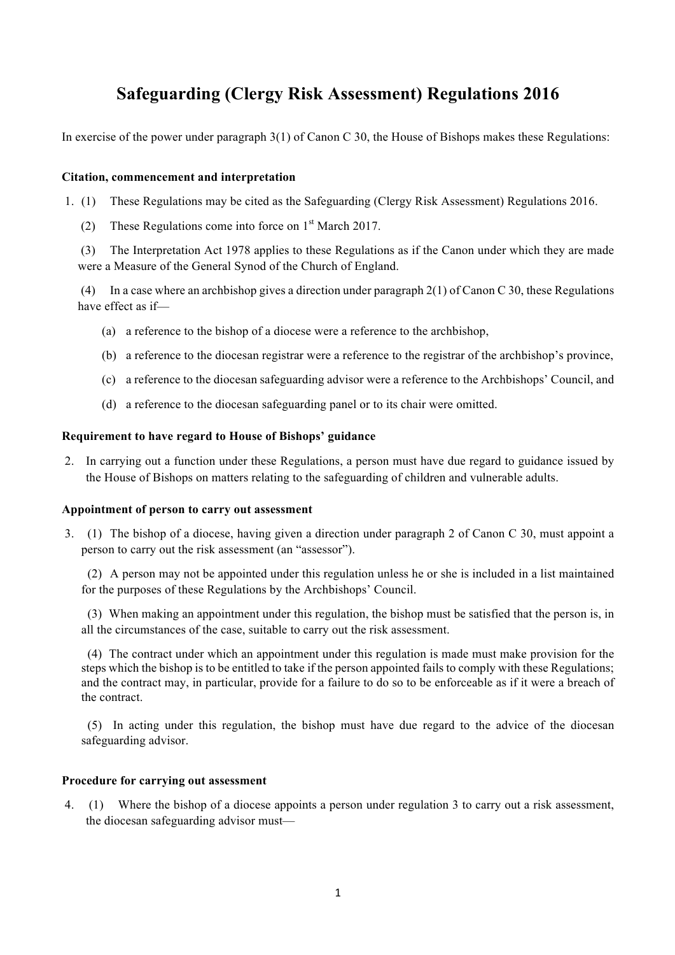# **Safeguarding (Clergy Risk Assessment) Regulations 2016**

In exercise of the power under paragraph 3(1) of Canon C 30, the House of Bishops makes these Regulations:

# **Citation, commencement and interpretation**

- 1. (1) These Regulations may be cited as the Safeguarding (Clergy Risk Assessment) Regulations 2016.
	- (2) These Regulations come into force on  $1<sup>st</sup>$  March 2017.

(3) The Interpretation Act 1978 applies to these Regulations as if the Canon under which they are made were a Measure of the General Synod of the Church of England.

(4) In a case where an archbishop gives a direction under paragraph 2(1) of Canon C 30, these Regulations have effect as if—

- (a) a reference to the bishop of a diocese were a reference to the archbishop,
- (b) a reference to the diocesan registrar were a reference to the registrar of the archbishop's province,
- (c) a reference to the diocesan safeguarding advisor were a reference to the Archbishops' Council, and
- (d) a reference to the diocesan safeguarding panel or to its chair were omitted.

#### **Requirement to have regard to House of Bishops' guidance**

2. In carrying out a function under these Regulations, a person must have due regard to guidance issued by the House of Bishops on matters relating to the safeguarding of children and vulnerable adults.

#### **Appointment of person to carry out assessment**

3. (1) The bishop of a diocese, having given a direction under paragraph 2 of Canon C 30, must appoint a person to carry out the risk assessment (an "assessor").

 (2) A person may not be appointed under this regulation unless he or she is included in a list maintained for the purposes of these Regulations by the Archbishops' Council.

(3) When making an appointment under this regulation, the bishop must be satisfied that the person is, in all the circumstances of the case, suitable to carry out the risk assessment.

 (4) The contract under which an appointment under this regulation is made must make provision for the steps which the bishop is to be entitled to take if the person appointed fails to comply with these Regulations; and the contract may, in particular, provide for a failure to do so to be enforceable as if it were a breach of the contract.

 (5) In acting under this regulation, the bishop must have due regard to the advice of the diocesan safeguarding advisor.

#### **Procedure for carrying out assessment**

4. (1) Where the bishop of a diocese appoints a person under regulation 3 to carry out a risk assessment, the diocesan safeguarding advisor must—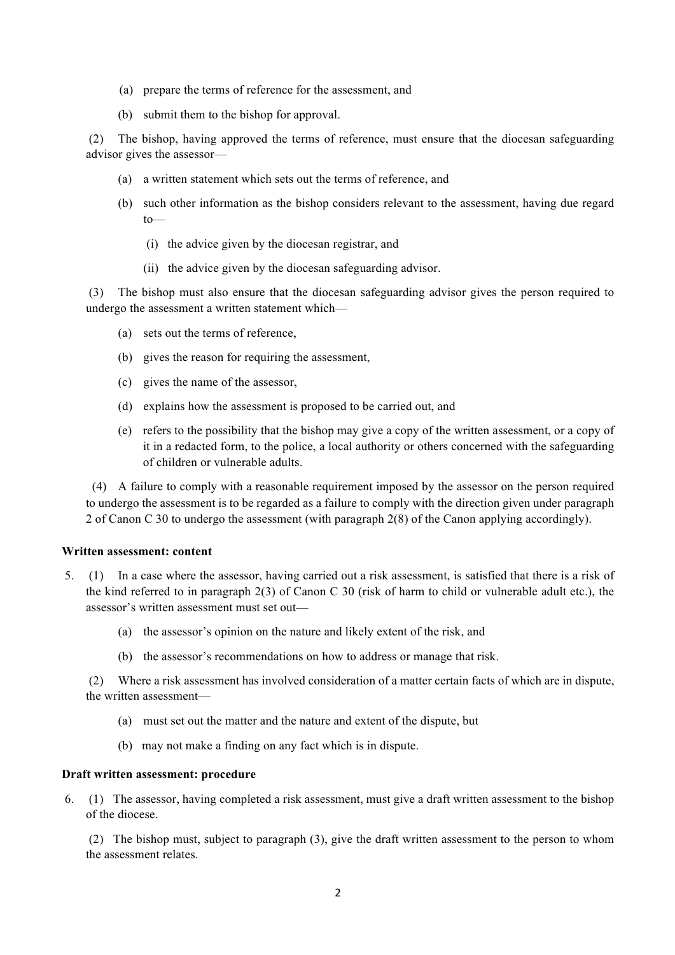- (a) prepare the terms of reference for the assessment, and
- (b) submit them to the bishop for approval.

(2) The bishop, having approved the terms of reference, must ensure that the diocesan safeguarding advisor gives the assessor—

- (a) a written statement which sets out the terms of reference, and
- (b) such other information as the bishop considers relevant to the assessment, having due regard to—
	- (i) the advice given by the diocesan registrar, and
	- (ii) the advice given by the diocesan safeguarding advisor.

(3) The bishop must also ensure that the diocesan safeguarding advisor gives the person required to undergo the assessment a written statement which—

- (a) sets out the terms of reference,
- (b) gives the reason for requiring the assessment,
- (c) gives the name of the assessor,
- (d) explains how the assessment is proposed to be carried out, and
- (e) refers to the possibility that the bishop may give a copy of the written assessment, or a copy of it in a redacted form, to the police, a local authority or others concerned with the safeguarding of children or vulnerable adults.

(4) A failure to comply with a reasonable requirement imposed by the assessor on the person required to undergo the assessment is to be regarded as a failure to comply with the direction given under paragraph 2 of Canon C 30 to undergo the assessment (with paragraph 2(8) of the Canon applying accordingly).

# **Written assessment: content**

- 5. (1) In a case where the assessor, having carried out a risk assessment, is satisfied that there is a risk of the kind referred to in paragraph 2(3) of Canon C 30 (risk of harm to child or vulnerable adult etc.), the assessor's written assessment must set out—
	- (a) the assessor's opinion on the nature and likely extent of the risk, and
	- (b) the assessor's recommendations on how to address or manage that risk.

(2) Where a risk assessment has involved consideration of a matter certain facts of which are in dispute, the written assessment—

- (a) must set out the matter and the nature and extent of the dispute, but
- (b) may not make a finding on any fact which is in dispute.

## **Draft written assessment: procedure**

6. (1) The assessor, having completed a risk assessment, must give a draft written assessment to the bishop of the diocese.

(2) The bishop must, subject to paragraph (3), give the draft written assessment to the person to whom the assessment relates.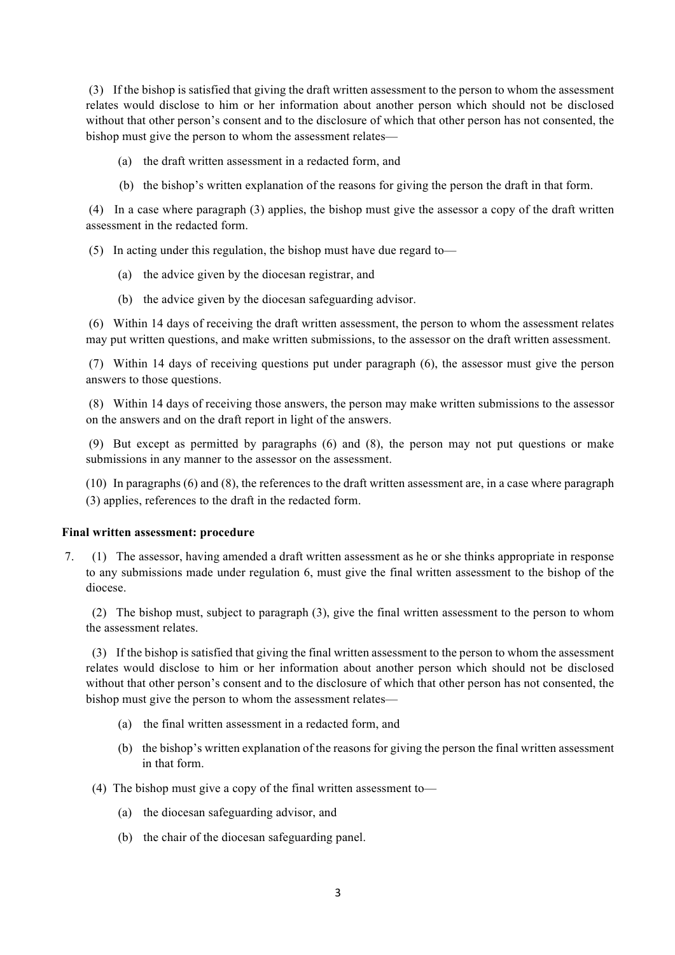(3) If the bishop is satisfied that giving the draft written assessment to the person to whom the assessment relates would disclose to him or her information about another person which should not be disclosed without that other person's consent and to the disclosure of which that other person has not consented, the bishop must give the person to whom the assessment relates—

- (a) the draft written assessment in a redacted form, and
- (b) the bishop's written explanation of the reasons for giving the person the draft in that form.

(4) In a case where paragraph (3) applies, the bishop must give the assessor a copy of the draft written assessment in the redacted form.

(5) In acting under this regulation, the bishop must have due regard to—

- (a) the advice given by the diocesan registrar, and
- (b) the advice given by the diocesan safeguarding advisor.

(6) Within 14 days of receiving the draft written assessment, the person to whom the assessment relates may put written questions, and make written submissions, to the assessor on the draft written assessment.

(7) Within 14 days of receiving questions put under paragraph (6), the assessor must give the person answers to those questions.

(8) Within 14 days of receiving those answers, the person may make written submissions to the assessor on the answers and on the draft report in light of the answers.

(9) But except as permitted by paragraphs (6) and (8), the person may not put questions or make submissions in any manner to the assessor on the assessment.

(10) In paragraphs (6) and (8), the references to the draft written assessment are, in a case where paragraph (3) applies, references to the draft in the redacted form.

## **Final written assessment: procedure**

7. (1) The assessor, having amended a draft written assessment as he or she thinks appropriate in response to any submissions made under regulation 6, must give the final written assessment to the bishop of the diocese.

(2) The bishop must, subject to paragraph (3), give the final written assessment to the person to whom the assessment relates.

(3) If the bishop is satisfied that giving the final written assessment to the person to whom the assessment relates would disclose to him or her information about another person which should not be disclosed without that other person's consent and to the disclosure of which that other person has not consented, the bishop must give the person to whom the assessment relates—

- (a) the final written assessment in a redacted form, and
- (b) the bishop's written explanation of the reasons for giving the person the final written assessment in that form.
- (4) The bishop must give a copy of the final written assessment to—
	- (a) the diocesan safeguarding advisor, and
	- (b) the chair of the diocesan safeguarding panel.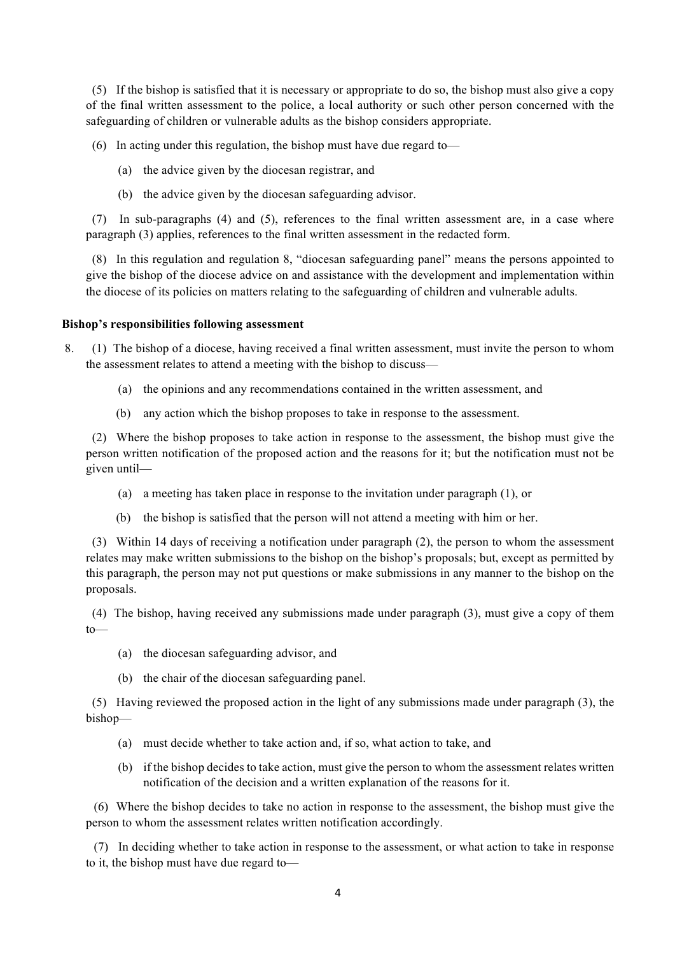(5) If the bishop is satisfied that it is necessary or appropriate to do so, the bishop must also give a copy of the final written assessment to the police, a local authority or such other person concerned with the safeguarding of children or vulnerable adults as the bishop considers appropriate.

(6) In acting under this regulation, the bishop must have due regard to—

- (a) the advice given by the diocesan registrar, and
- (b) the advice given by the diocesan safeguarding advisor.

 (7) In sub-paragraphs (4) and (5), references to the final written assessment are, in a case where paragraph (3) applies, references to the final written assessment in the redacted form.

 (8) In this regulation and regulation 8, "diocesan safeguarding panel" means the persons appointed to give the bishop of the diocese advice on and assistance with the development and implementation within the diocese of its policies on matters relating to the safeguarding of children and vulnerable adults.

## **Bishop's responsibilities following assessment**

- 8. (1) The bishop of a diocese, having received a final written assessment, must invite the person to whom the assessment relates to attend a meeting with the bishop to discuss—
	- (a) the opinions and any recommendations contained in the written assessment, and
	- (b) any action which the bishop proposes to take in response to the assessment.

(2) Where the bishop proposes to take action in response to the assessment, the bishop must give the person written notification of the proposed action and the reasons for it; but the notification must not be given until—

- (a) a meeting has taken place in response to the invitation under paragraph (1), or
- (b) the bishop is satisfied that the person will not attend a meeting with him or her.

(3) Within 14 days of receiving a notification under paragraph (2), the person to whom the assessment relates may make written submissions to the bishop on the bishop's proposals; but, except as permitted by this paragraph, the person may not put questions or make submissions in any manner to the bishop on the proposals.

 (4) The bishop, having received any submissions made under paragraph (3), must give a copy of them to—

- (a) the diocesan safeguarding advisor, and
- (b) the chair of the diocesan safeguarding panel.

 (5) Having reviewed the proposed action in the light of any submissions made under paragraph (3), the bishop—

- (a) must decide whether to take action and, if so, what action to take, and
- (b) if the bishop decides to take action, must give the person to whom the assessment relates written notification of the decision and a written explanation of the reasons for it.

(6) Where the bishop decides to take no action in response to the assessment, the bishop must give the person to whom the assessment relates written notification accordingly.

(7) In deciding whether to take action in response to the assessment, or what action to take in response to it, the bishop must have due regard to—